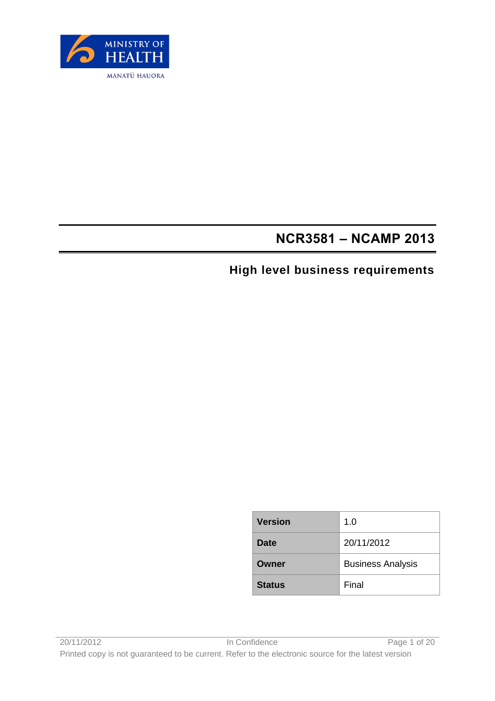

# **NCR3581 – NCAMP 2013**

# **High level business requirements**

| <b>Version</b> | 1.0                      |
|----------------|--------------------------|
| Date           | 20/11/2012               |
| Owner          | <b>Business Analysis</b> |
| <b>Status</b>  | Final                    |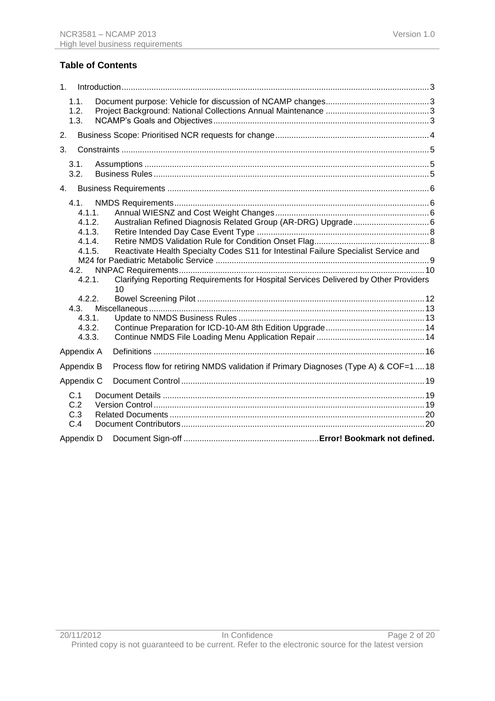### **Table of Contents**

| 1 <sub>1</sub> |                                                                                                                 |  |                                                                                                                                                                                                                                                    |  |  |
|----------------|-----------------------------------------------------------------------------------------------------------------|--|----------------------------------------------------------------------------------------------------------------------------------------------------------------------------------------------------------------------------------------------------|--|--|
|                | 1.1.<br>1.2.<br>1.3.                                                                                            |  |                                                                                                                                                                                                                                                    |  |  |
| 2.             |                                                                                                                 |  |                                                                                                                                                                                                                                                    |  |  |
| 3.             |                                                                                                                 |  |                                                                                                                                                                                                                                                    |  |  |
|                | 3.1.<br>3.2.                                                                                                    |  |                                                                                                                                                                                                                                                    |  |  |
| $4_{-}$        |                                                                                                                 |  |                                                                                                                                                                                                                                                    |  |  |
|                | 4.1<br>4.1.1.<br>4.1.2.<br>4.1.3.<br>4.1.4.<br>4.1.5.<br>4.2.<br>4.2.1.<br>4.2.2.<br>4.3.1.<br>4.3.2.<br>4.3.3. |  | Australian Refined Diagnosis Related Group (AR-DRG) Upgrade 6<br>Reactivate Health Specialty Codes S11 for Intestinal Failure Specialist Service and<br>Clarifying Reporting Requirements for Hospital Services Delivered by Other Providers<br>10 |  |  |
|                | Appendix A                                                                                                      |  |                                                                                                                                                                                                                                                    |  |  |
|                | Appendix B                                                                                                      |  | Process flow for retiring NMDS validation if Primary Diagnoses (Type A) & COF=1  18                                                                                                                                                                |  |  |
|                | Appendix C                                                                                                      |  |                                                                                                                                                                                                                                                    |  |  |
|                | C.1<br>C.2<br>C.3<br>C.4                                                                                        |  |                                                                                                                                                                                                                                                    |  |  |
|                | Appendix D                                                                                                      |  |                                                                                                                                                                                                                                                    |  |  |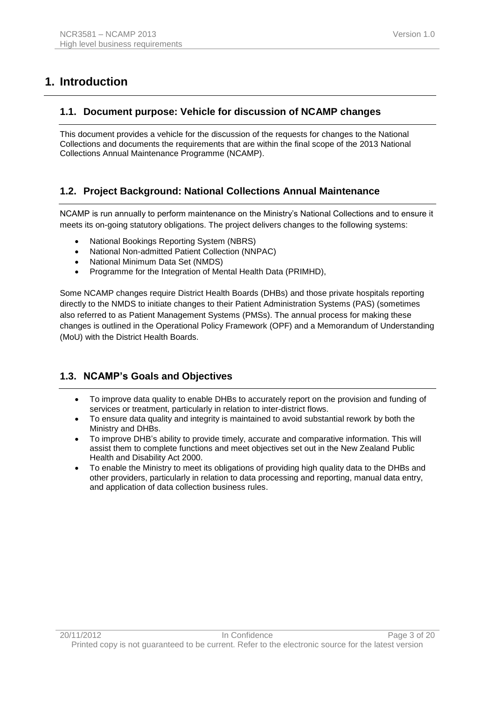# <span id="page-2-0"></span>**1. Introduction**

### <span id="page-2-1"></span>**1.1. Document purpose: Vehicle for discussion of NCAMP changes**

This document provides a vehicle for the discussion of the requests for changes to the National Collections and documents the requirements that are within the final scope of the 2013 National Collections Annual Maintenance Programme (NCAMP).

### <span id="page-2-2"></span>**1.2. Project Background: National Collections Annual Maintenance**

NCAMP is run annually to perform maintenance on the Ministry's National Collections and to ensure it meets its on-going statutory obligations. The project delivers changes to the following systems:

- National Bookings Reporting System (NBRS)
- National Non-admitted Patient Collection (NNPAC)
- National Minimum Data Set (NMDS)
- Programme for the Integration of Mental Health Data (PRIMHD),

Some NCAMP changes require District Health Boards (DHBs) and those private hospitals reporting directly to the NMDS to initiate changes to their Patient Administration Systems (PAS) (sometimes also referred to as Patient Management Systems (PMSs). The annual process for making these changes is outlined in the Operational Policy Framework (OPF) and a Memorandum of Understanding (MoU) with the District Health Boards.

## <span id="page-2-3"></span>**1.3. NCAMP's Goals and Objectives**

- To improve data quality to enable DHBs to accurately report on the provision and funding of services or treatment, particularly in relation to inter-district flows.
- To ensure data quality and integrity is maintained to avoid substantial rework by both the Ministry and DHBs.
- To improve DHB's ability to provide timely, accurate and comparative information. This will assist them to complete functions and meet objectives set out in the New Zealand Public Health and Disability Act 2000.
- To enable the Ministry to meet its obligations of providing high quality data to the DHBs and other providers, particularly in relation to data processing and reporting, manual data entry, and application of data collection business rules.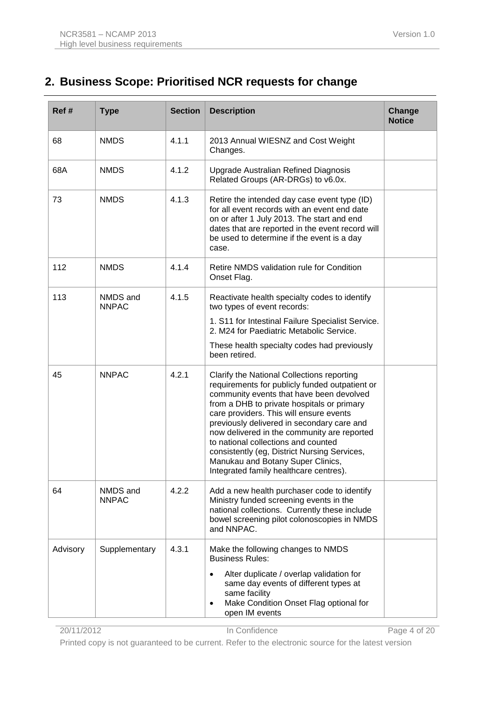# <span id="page-3-0"></span>**2. Business Scope: Prioritised NCR requests for change**

| Ref#     | <b>Type</b>              | <b>Section</b> | <b>Description</b>                                                                                                                                                                                                                                                                                                                                                                                                                                                                                   | Change<br><b>Notice</b> |
|----------|--------------------------|----------------|------------------------------------------------------------------------------------------------------------------------------------------------------------------------------------------------------------------------------------------------------------------------------------------------------------------------------------------------------------------------------------------------------------------------------------------------------------------------------------------------------|-------------------------|
| 68       | <b>NMDS</b>              | 4.1.1          | 2013 Annual WIESNZ and Cost Weight<br>Changes.                                                                                                                                                                                                                                                                                                                                                                                                                                                       |                         |
| 68A      | <b>NMDS</b>              | 4.1.2          | Upgrade Australian Refined Diagnosis<br>Related Groups (AR-DRGs) to v6.0x.                                                                                                                                                                                                                                                                                                                                                                                                                           |                         |
| 73       | <b>NMDS</b>              | 4.1.3          | Retire the intended day case event type (ID)<br>for all event records with an event end date<br>on or after 1 July 2013. The start and end<br>dates that are reported in the event record will<br>be used to determine if the event is a day<br>case.                                                                                                                                                                                                                                                |                         |
| 112      | <b>NMDS</b>              | 4.1.4          | Retire NMDS validation rule for Condition<br>Onset Flag.                                                                                                                                                                                                                                                                                                                                                                                                                                             |                         |
| 113      | NMDS and<br><b>NNPAC</b> | 4.1.5          | Reactivate health specialty codes to identify<br>two types of event records:                                                                                                                                                                                                                                                                                                                                                                                                                         |                         |
|          |                          |                | 1. S11 for Intestinal Failure Specialist Service.<br>2. M24 for Paediatric Metabolic Service.                                                                                                                                                                                                                                                                                                                                                                                                        |                         |
|          |                          |                | These health specialty codes had previously<br>been retired.                                                                                                                                                                                                                                                                                                                                                                                                                                         |                         |
| 45       | <b>NNPAC</b>             | 4.2.1          | Clarify the National Collections reporting<br>requirements for publicly funded outpatient or<br>community events that have been devolved<br>from a DHB to private hospitals or primary<br>care providers. This will ensure events<br>previously delivered in secondary care and<br>now delivered in the community are reported<br>to national collections and counted<br>consistently (eg, District Nursing Services,<br>Manukau and Botany Super Clinics,<br>Integrated family healthcare centres). |                         |
| 64       | NMDS and<br><b>NNPAC</b> | 4.2.2          | Add a new health purchaser code to identify<br>Ministry funded screening events in the<br>national collections. Currently these include<br>bowel screening pilot colonoscopies in NMDS<br>and NNPAC.                                                                                                                                                                                                                                                                                                 |                         |
| Advisory | Supplementary            | 4.3.1          | Make the following changes to NMDS<br><b>Business Rules:</b><br>Alter duplicate / overlap validation for<br>same day events of different types at<br>same facility<br>Make Condition Onset Flag optional for<br>$\bullet$<br>open IM events                                                                                                                                                                                                                                                          |                         |

z0/11/2012 In Confidence Page 4 of 20

Printed copy is not guaranteed to be current. Refer to the electronic source for the latest version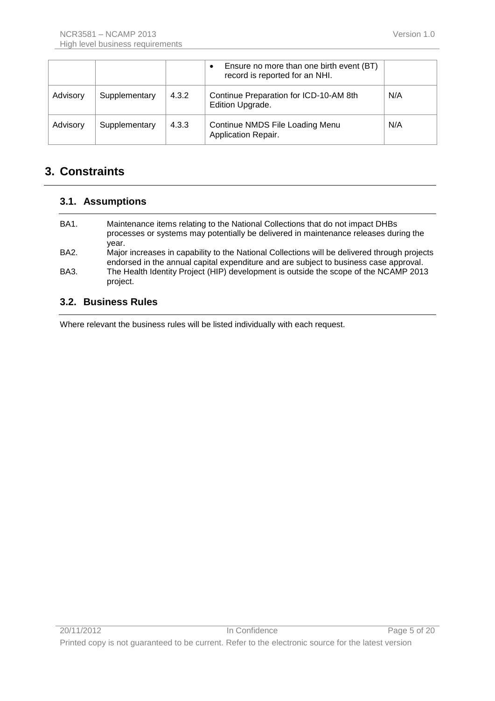|          |               |       | Ensure no more than one birth event (BT)<br>record is reported for an NHI. |     |
|----------|---------------|-------|----------------------------------------------------------------------------|-----|
| Advisory | Supplementary | 4.3.2 | Continue Preparation for ICD-10-AM 8th<br>Edition Upgrade.                 | N/A |
| Advisory | Supplementary | 4.3.3 | Continue NMDS File Loading Menu<br>Application Repair.                     | N/A |

# <span id="page-4-0"></span>**3. Constraints**

#### <span id="page-4-1"></span>**3.1. Assumptions**

| BA1.        | Maintenance items relating to the National Collections that do not impact DHBs<br>processes or systems may potentially be delivered in maintenance releases during the<br>year.       |
|-------------|---------------------------------------------------------------------------------------------------------------------------------------------------------------------------------------|
| <b>BA2.</b> | Major increases in capability to the National Collections will be delivered through projects<br>endorsed in the annual capital expenditure and are subject to business case approval. |
| BA3.        | The Health Identity Project (HIP) development is outside the scope of the NCAMP 2013<br>project.                                                                                      |

#### <span id="page-4-2"></span>**3.2. Business Rules**

Where relevant the business rules will be listed individually with each request.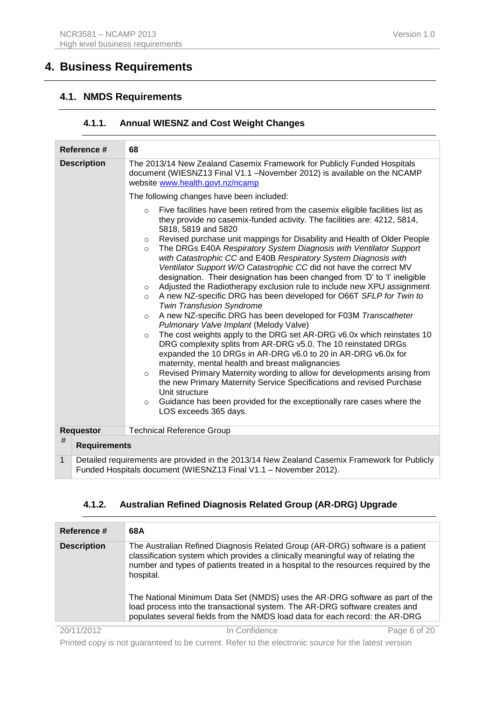# <span id="page-5-0"></span>**4. Business Requirements**

## <span id="page-5-1"></span>**4.1. NMDS Requirements**

#### **4.1.1. Annual WIESNZ and Cost Weight Changes**

<span id="page-5-2"></span>

| Reference #        |                     | 68                                                                                                                                                                                                                                                                                                                                                                                                                                                                                                                                                                                                                                                                                                                                                                                                                                                                                                                                                                                                                                                                                                                                                                                                                                                                                                                                                                                                                                                                                                         |  |  |  |
|--------------------|---------------------|------------------------------------------------------------------------------------------------------------------------------------------------------------------------------------------------------------------------------------------------------------------------------------------------------------------------------------------------------------------------------------------------------------------------------------------------------------------------------------------------------------------------------------------------------------------------------------------------------------------------------------------------------------------------------------------------------------------------------------------------------------------------------------------------------------------------------------------------------------------------------------------------------------------------------------------------------------------------------------------------------------------------------------------------------------------------------------------------------------------------------------------------------------------------------------------------------------------------------------------------------------------------------------------------------------------------------------------------------------------------------------------------------------------------------------------------------------------------------------------------------------|--|--|--|
| <b>Description</b> |                     | The 2013/14 New Zealand Casemix Framework for Publicly Funded Hospitals<br>document (WIESNZ13 Final V1.1 - November 2012) is available on the NCAMP<br>website www.health.govt.nz/ncamp                                                                                                                                                                                                                                                                                                                                                                                                                                                                                                                                                                                                                                                                                                                                                                                                                                                                                                                                                                                                                                                                                                                                                                                                                                                                                                                    |  |  |  |
|                    |                     | The following changes have been included:                                                                                                                                                                                                                                                                                                                                                                                                                                                                                                                                                                                                                                                                                                                                                                                                                                                                                                                                                                                                                                                                                                                                                                                                                                                                                                                                                                                                                                                                  |  |  |  |
|                    |                     | Five facilities have been retired from the casemix eligible facilities list as<br>$\circ$<br>they provide no casemix-funded activity. The facilities are: 4212, 5814,<br>5818, 5819 and 5820<br>Revised purchase unit mappings for Disability and Health of Older People<br>$\circ$<br>The DRGs E40A Respiratory System Diagnosis with Ventilator Support<br>$\circ$<br>with Catastrophic CC and E40B Respiratory System Diagnosis with<br>Ventilator Support W/O Catastrophic CC did not have the correct MV<br>designation. Their designation has been changed from 'D' to 'l' ineligible<br>Adjusted the Radiotherapy exclusion rule to include new XPU assignment<br>$\circ$<br>A new NZ-specific DRG has been developed for O66T SFLP for Twin to<br>$\circ$<br><b>Twin Transfusion Syndrome</b><br>A new NZ-specific DRG has been developed for F03M Transcatheter<br>$\Omega$<br>Pulmonary Valve Implant (Melody Valve)<br>The cost weights apply to the DRG set AR-DRG v6.0x which reinstates 10<br>$\circ$<br>DRG complexity splits from AR-DRG v5.0. The 10 reinstated DRGs<br>expanded the 10 DRGs in AR-DRG v6.0 to 20 in AR-DRG v6.0x for<br>maternity, mental health and breast malignancies<br>Revised Primary Maternity wording to allow for developments arising from<br>$\Omega$<br>the new Primary Maternity Service Specifications and revised Purchase<br>Unit structure<br>Guidance has been provided for the exceptionally rare cases where the<br>$\circ$<br>LOS exceeds 365 days. |  |  |  |
| <b>Requestor</b>   |                     | <b>Technical Reference Group</b>                                                                                                                                                                                                                                                                                                                                                                                                                                                                                                                                                                                                                                                                                                                                                                                                                                                                                                                                                                                                                                                                                                                                                                                                                                                                                                                                                                                                                                                                           |  |  |  |
| #                  | <b>Requirements</b> |                                                                                                                                                                                                                                                                                                                                                                                                                                                                                                                                                                                                                                                                                                                                                                                                                                                                                                                                                                                                                                                                                                                                                                                                                                                                                                                                                                                                                                                                                                            |  |  |  |
| 1                  |                     | Detailed requirements are provided in the 2013/14 New Zealand Casemix Framework for Publicly<br>Funded Hospitals document (WIESNZ13 Final V1.1 - November 2012).                                                                                                                                                                                                                                                                                                                                                                                                                                                                                                                                                                                                                                                                                                                                                                                                                                                                                                                                                                                                                                                                                                                                                                                                                                                                                                                                           |  |  |  |

### **4.1.2. Australian Refined Diagnosis Related Group (AR-DRG) Upgrade**

<span id="page-5-3"></span>

| Reference #        | 68A                                                                                                                                                                                                                                                                   |
|--------------------|-----------------------------------------------------------------------------------------------------------------------------------------------------------------------------------------------------------------------------------------------------------------------|
| <b>Description</b> | The Australian Refined Diagnosis Related Group (AR-DRG) software is a patient<br>classification system which provides a clinically meaningful way of relating the<br>number and types of patients treated in a hospital to the resources required by the<br>hospital. |
|                    | The National Minimum Data Set (NMDS) uses the AR-DRG software as part of the<br>load process into the transactional system. The AR-DRG software creates and<br>populates several fields from the NMDS load data for each record: the AR-DRG                           |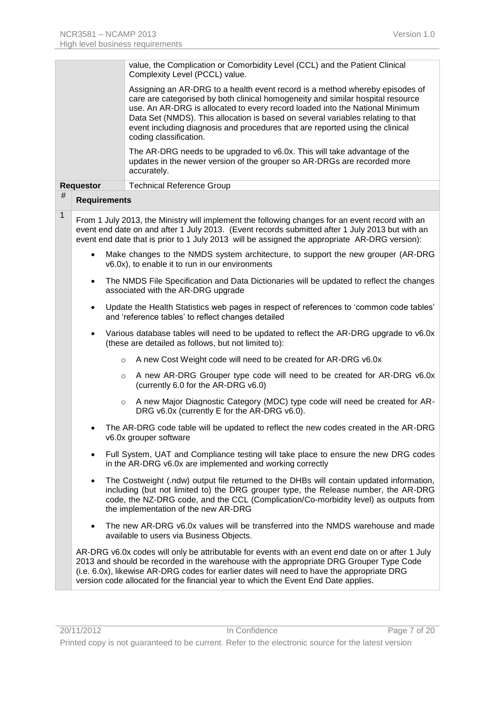|              |                     | value, the Complication or Comorbidity Level (CCL) and the Patient Clinical<br>Complexity Level (PCCL) value.                                                                                                                                                                                                                                                                                                                                 |
|--------------|---------------------|-----------------------------------------------------------------------------------------------------------------------------------------------------------------------------------------------------------------------------------------------------------------------------------------------------------------------------------------------------------------------------------------------------------------------------------------------|
|              |                     | Assigning an AR-DRG to a health event record is a method whereby episodes of<br>care are categorised by both clinical homogeneity and similar hospital resource<br>use. An AR-DRG is allocated to every record loaded into the National Minimum<br>Data Set (NMDS). This allocation is based on several variables relating to that<br>event including diagnosis and procedures that are reported using the clinical<br>coding classification. |
|              |                     | The AR-DRG needs to be upgraded to v6.0x. This will take advantage of the<br>updates in the newer version of the grouper so AR-DRGs are recorded more<br>accurately.                                                                                                                                                                                                                                                                          |
|              | <b>Requestor</b>    | <b>Technical Reference Group</b>                                                                                                                                                                                                                                                                                                                                                                                                              |
| #            | <b>Requirements</b> |                                                                                                                                                                                                                                                                                                                                                                                                                                               |
| $\mathbf{1}$ |                     | From 1 July 2013, the Ministry will implement the following changes for an event record with an<br>event end date on and after 1 July 2013. (Event records submitted after 1 July 2013 but with an<br>event end date that is prior to 1 July 2013 will be assigned the appropriate AR-DRG version):                                                                                                                                           |
|              | $\bullet$           | Make changes to the NMDS system architecture, to support the new grouper (AR-DRG<br>v6.0x), to enable it to run in our environments                                                                                                                                                                                                                                                                                                           |
|              | $\bullet$           | The NMDS File Specification and Data Dictionaries will be updated to reflect the changes<br>associated with the AR-DRG upgrade                                                                                                                                                                                                                                                                                                                |
|              | $\bullet$           | Update the Health Statistics web pages in respect of references to 'common code tables'<br>and 'reference tables' to reflect changes detailed                                                                                                                                                                                                                                                                                                 |
|              | $\bullet$           | Various database tables will need to be updated to reflect the AR-DRG upgrade to v6.0x<br>(these are detailed as follows, but not limited to):                                                                                                                                                                                                                                                                                                |
|              |                     | A new Cost Weight code will need to be created for AR-DRG v6.0x<br>$\circ$                                                                                                                                                                                                                                                                                                                                                                    |
|              |                     | A new AR-DRG Grouper type code will need to be created for AR-DRG v6.0x<br>$\circ$<br>(currently 6.0 for the AR-DRG v6.0)                                                                                                                                                                                                                                                                                                                     |
|              |                     | A new Major Diagnostic Category (MDC) type code will need be created for AR-<br>$\circ$<br>DRG v6.0x (currently E for the AR-DRG v6.0).                                                                                                                                                                                                                                                                                                       |
|              |                     | The AR-DRG code table will be updated to reflect the new codes created in the AR-DRG<br>v6.0x grouper software                                                                                                                                                                                                                                                                                                                                |
|              | $\bullet$           | Full System, UAT and Compliance testing will take place to ensure the new DRG codes<br>in the AR-DRG v6.0x are implemented and working correctly                                                                                                                                                                                                                                                                                              |
|              | $\bullet$           | The Costweight (.ndw) output file returned to the DHBs will contain updated information,<br>including (but not limited to) the DRG grouper type, the Release number, the AR-DRG<br>code, the NZ-DRG code, and the CCL (Complication/Co-morbidity level) as outputs from<br>the implementation of the new AR-DRG                                                                                                                               |
|              |                     | The new AR-DRG v6.0x values will be transferred into the NMDS warehouse and made<br>available to users via Business Objects.                                                                                                                                                                                                                                                                                                                  |
|              |                     | AR-DRG v6.0x codes will only be attributable for events with an event end date on or after 1 July<br>2013 and should be recorded in the warehouse with the appropriate DRG Grouper Type Code<br>(i.e. 6.0x), likewise AR-DRG codes for earlier dates will need to have the appropriate DRG<br>version code allocated for the financial year to which the Event End Date applies.                                                              |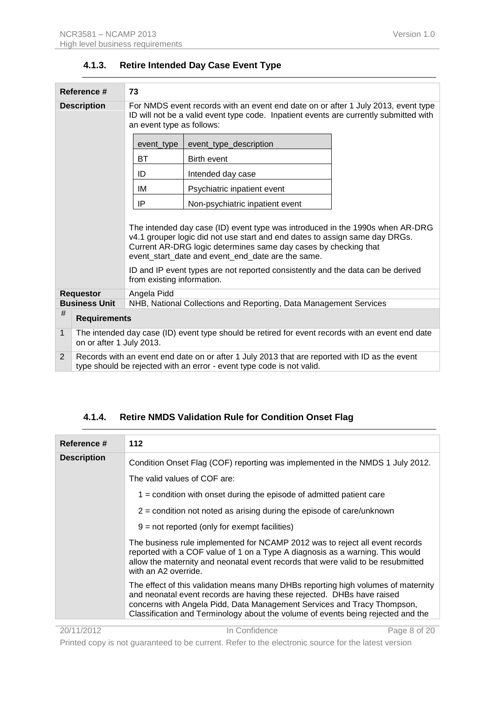<span id="page-7-0"></span>

|                                                                                           | Reference #<br>73                                                                                                                                                      |                            |                                                                                                                                                                                                                                                                                                                                                                         |
|-------------------------------------------------------------------------------------------|------------------------------------------------------------------------------------------------------------------------------------------------------------------------|----------------------------|-------------------------------------------------------------------------------------------------------------------------------------------------------------------------------------------------------------------------------------------------------------------------------------------------------------------------------------------------------------------------|
| <b>Description</b>                                                                        |                                                                                                                                                                        | an event type as follows:  | For NMDS event records with an event end date on or after 1 July 2013, event type<br>ID will not be a valid event type code. Inpatient events are currently submitted with                                                                                                                                                                                              |
|                                                                                           |                                                                                                                                                                        | event_type                 | event_type_description                                                                                                                                                                                                                                                                                                                                                  |
|                                                                                           |                                                                                                                                                                        | BT                         | <b>Birth event</b>                                                                                                                                                                                                                                                                                                                                                      |
|                                                                                           |                                                                                                                                                                        | ID                         | Intended day case                                                                                                                                                                                                                                                                                                                                                       |
|                                                                                           |                                                                                                                                                                        | IM                         | Psychiatric inpatient event                                                                                                                                                                                                                                                                                                                                             |
|                                                                                           |                                                                                                                                                                        | IP                         | Non-psychiatric inpatient event                                                                                                                                                                                                                                                                                                                                         |
|                                                                                           |                                                                                                                                                                        | from existing information. | The intended day case (ID) event type was introduced in the 1990s when AR-DRG<br>v4.1 grouper logic did not use start and end dates to assign same day DRGs.<br>Current AR-DRG logic determines same day cases by checking that<br>event_start_date and event_end_date are the same.<br>ID and IP event types are not reported consistently and the data can be derived |
| Angela Pidd<br><b>Requestor</b>                                                           |                                                                                                                                                                        |                            |                                                                                                                                                                                                                                                                                                                                                                         |
| <b>Business Unit</b><br>NHB, National Collections and Reporting, Data Management Services |                                                                                                                                                                        |                            |                                                                                                                                                                                                                                                                                                                                                                         |
| #                                                                                         | <b>Requirements</b>                                                                                                                                                    |                            |                                                                                                                                                                                                                                                                                                                                                                         |
| 1                                                                                         | The intended day case (ID) event type should be retired for event records with an event end date<br>on or after 1 July 2013.                                           |                            |                                                                                                                                                                                                                                                                                                                                                                         |
| 2                                                                                         | Records with an event end date on or after 1 July 2013 that are reported with ID as the event<br>type should be rejected with an error - event type code is not valid. |                            |                                                                                                                                                                                                                                                                                                                                                                         |

### **4.1.3. Retire Intended Day Case Event Type**

# **4.1.4. Retire NMDS Validation Rule for Condition Onset Flag**

<span id="page-7-1"></span>

| Reference #        | 112                                                                                                                                                                                                                                                                                                                        |
|--------------------|----------------------------------------------------------------------------------------------------------------------------------------------------------------------------------------------------------------------------------------------------------------------------------------------------------------------------|
| <b>Description</b> | Condition Onset Flag (COF) reporting was implemented in the NMDS 1 July 2012.                                                                                                                                                                                                                                              |
|                    | The valid values of COF are:                                                                                                                                                                                                                                                                                               |
|                    | $1$ = condition with onset during the episode of admitted patient care                                                                                                                                                                                                                                                     |
|                    | $2$ = condition not noted as arising during the episode of care/unknown                                                                                                                                                                                                                                                    |
|                    | $9$ = not reported (only for exempt facilities)                                                                                                                                                                                                                                                                            |
|                    | The business rule implemented for NCAMP 2012 was to reject all event records<br>reported with a COF value of 1 on a Type A diagnosis as a warning. This would<br>allow the maternity and neonatal event records that were valid to be resubmitted<br>with an A2 override.                                                  |
|                    | The effect of this validation means many DHBs reporting high volumes of maternity<br>and neonatal event records are having these rejected. DHBs have raised<br>concerns with Angela Pidd, Data Management Services and Tracy Thompson,<br>Classification and Terminology about the volume of events being rejected and the |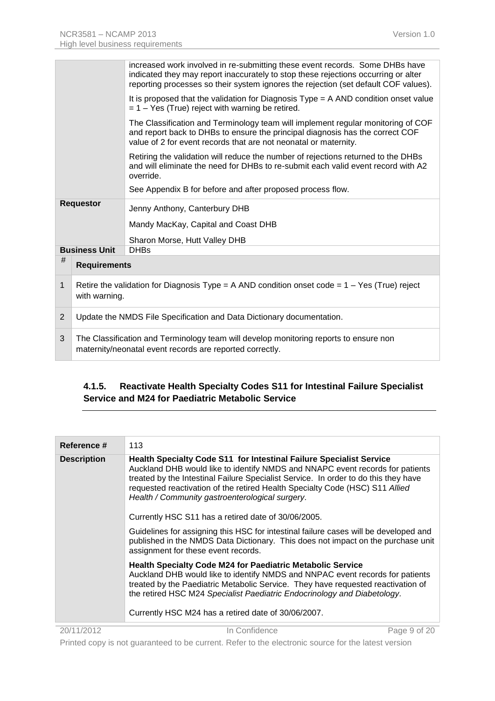|   |                                                                                                                                                   | increased work involved in re-submitting these event records. Some DHBs have<br>indicated they may report inaccurately to stop these rejections occurring or alter<br>reporting processes so their system ignores the rejection (set default COF values). |  |
|---|---------------------------------------------------------------------------------------------------------------------------------------------------|-----------------------------------------------------------------------------------------------------------------------------------------------------------------------------------------------------------------------------------------------------------|--|
|   |                                                                                                                                                   | It is proposed that the validation for Diagnosis $Type = A AND condition onset value$<br>$= 1 - Yes$ (True) reject with warning be retired.                                                                                                               |  |
|   |                                                                                                                                                   | The Classification and Terminology team will implement regular monitoring of COF<br>and report back to DHBs to ensure the principal diagnosis has the correct COF<br>value of 2 for event records that are not neonatal or maternity.                     |  |
|   |                                                                                                                                                   | Retiring the validation will reduce the number of rejections returned to the DHBs<br>and will eliminate the need for DHBs to re-submit each valid event record with A2<br>override.                                                                       |  |
|   |                                                                                                                                                   | See Appendix B for before and after proposed process flow.                                                                                                                                                                                                |  |
|   | <b>Requestor</b>                                                                                                                                  | Jenny Anthony, Canterbury DHB                                                                                                                                                                                                                             |  |
|   |                                                                                                                                                   | Mandy MacKay, Capital and Coast DHB                                                                                                                                                                                                                       |  |
|   |                                                                                                                                                   | Sharon Morse, Hutt Valley DHB                                                                                                                                                                                                                             |  |
|   | <b>Business Unit</b>                                                                                                                              | <b>DHBs</b>                                                                                                                                                                                                                                               |  |
| # | <b>Requirements</b>                                                                                                                               |                                                                                                                                                                                                                                                           |  |
| 1 | Retire the validation for Diagnosis Type = A AND condition onset code = $1 - Yes$ (True) reject<br>with warning.                                  |                                                                                                                                                                                                                                                           |  |
| 2 | Update the NMDS File Specification and Data Dictionary documentation.                                                                             |                                                                                                                                                                                                                                                           |  |
| 3 | The Classification and Terminology team will develop monitoring reports to ensure non<br>maternity/neonatal event records are reported correctly. |                                                                                                                                                                                                                                                           |  |

### <span id="page-8-0"></span>**4.1.5. Reactivate Health Specialty Codes S11 for Intestinal Failure Specialist Service and M24 for Paediatric Metabolic Service**

| Reference #        | 113                                                                                                                                                                                                                                                                                                                                                                                   |
|--------------------|---------------------------------------------------------------------------------------------------------------------------------------------------------------------------------------------------------------------------------------------------------------------------------------------------------------------------------------------------------------------------------------|
| <b>Description</b> | <b>Health Specialty Code S11 for Intestinal Failure Specialist Service</b><br>Auckland DHB would like to identify NMDS and NNAPC event records for patients<br>treated by the Intestinal Failure Specialist Service. In order to do this they have<br>requested reactivation of the retired Health Specialty Code (HSC) S11 Allied<br>Health / Community gastroenterological surgery. |
|                    | Currently HSC S11 has a retired date of 30/06/2005.                                                                                                                                                                                                                                                                                                                                   |
|                    | Guidelines for assigning this HSC for intestinal failure cases will be developed and<br>published in the NMDS Data Dictionary. This does not impact on the purchase unit<br>assignment for these event records.                                                                                                                                                                       |
|                    | <b>Health Specialty Code M24 for Paediatric Metabolic Service</b><br>Auckland DHB would like to identify NMDS and NNPAC event records for patients<br>treated by the Paediatric Metabolic Service. They have requested reactivation of<br>the retired HSC M24 Specialist Paediatric Endocrinology and Diabetology.<br>Currently HSC M24 has a retired date of 30/06/2007.             |
|                    |                                                                                                                                                                                                                                                                                                                                                                                       |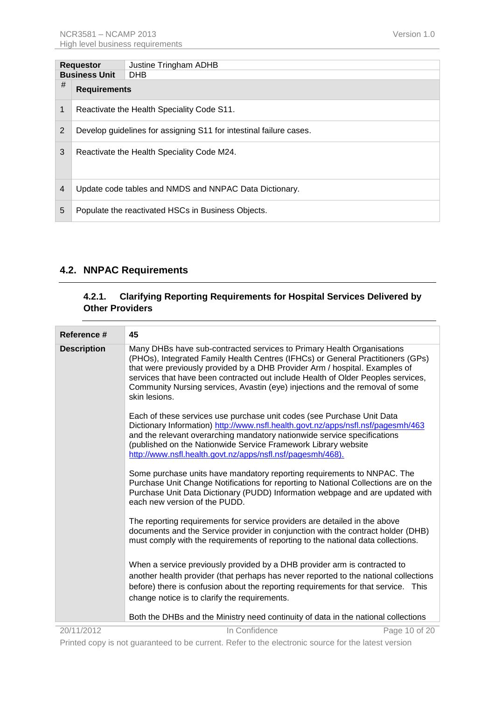| <b>Requestor</b>     |                                                                    | Justine Tringham ADHB                                  |
|----------------------|--------------------------------------------------------------------|--------------------------------------------------------|
| <b>Business Unit</b> |                                                                    | <b>DHB</b>                                             |
| #                    | <b>Requirements</b>                                                |                                                        |
|                      | Reactivate the Health Speciality Code S11.                         |                                                        |
| 2                    | Develop guidelines for assigning S11 for intestinal failure cases. |                                                        |
| 3                    | Reactivate the Health Speciality Code M24.                         |                                                        |
| $\overline{4}$       |                                                                    | Update code tables and NMDS and NNPAC Data Dictionary. |
| 5                    |                                                                    | Populate the reactivated HSCs in Business Objects.     |

## <span id="page-9-1"></span><span id="page-9-0"></span>**4.2. NNPAC Requirements**

#### **4.2.1. Clarifying Reporting Requirements for Hospital Services Delivered by Other Providers**

| Reference #        | 45                                                                                                                                                                                                                                                                                                                                                                                                                            |
|--------------------|-------------------------------------------------------------------------------------------------------------------------------------------------------------------------------------------------------------------------------------------------------------------------------------------------------------------------------------------------------------------------------------------------------------------------------|
| <b>Description</b> | Many DHBs have sub-contracted services to Primary Health Organisations<br>(PHOs), Integrated Family Health Centres (IFHCs) or General Practitioners (GPs)<br>that were previously provided by a DHB Provider Arm / hospital. Examples of<br>services that have been contracted out include Health of Older Peoples services,<br>Community Nursing services, Avastin (eye) injections and the removal of some<br>skin lesions. |
|                    | Each of these services use purchase unit codes (see Purchase Unit Data<br>Dictionary Information) http://www.nsfl.health.govt.nz/apps/nsfl.nsf/pagesmh/463<br>and the relevant overarching mandatory nationwide service specifications<br>(published on the Nationwide Service Framework Library website<br>http://www.nsfl.health.govt.nz/apps/nsfl.nsf/pagesmh/468).                                                        |
|                    | Some purchase units have mandatory reporting requirements to NNPAC. The<br>Purchase Unit Change Notifications for reporting to National Collections are on the<br>Purchase Unit Data Dictionary (PUDD) Information webpage and are updated with<br>each new version of the PUDD.                                                                                                                                              |
|                    | The reporting requirements for service providers are detailed in the above<br>documents and the Service provider in conjunction with the contract holder (DHB)<br>must comply with the requirements of reporting to the national data collections.                                                                                                                                                                            |
|                    | When a service previously provided by a DHB provider arm is contracted to<br>another health provider (that perhaps has never reported to the national collections<br>before) there is confusion about the reporting requirements for that service. This<br>change notice is to clarify the requirements.                                                                                                                      |
|                    | Both the DHBs and the Ministry need continuity of data in the national collections                                                                                                                                                                                                                                                                                                                                            |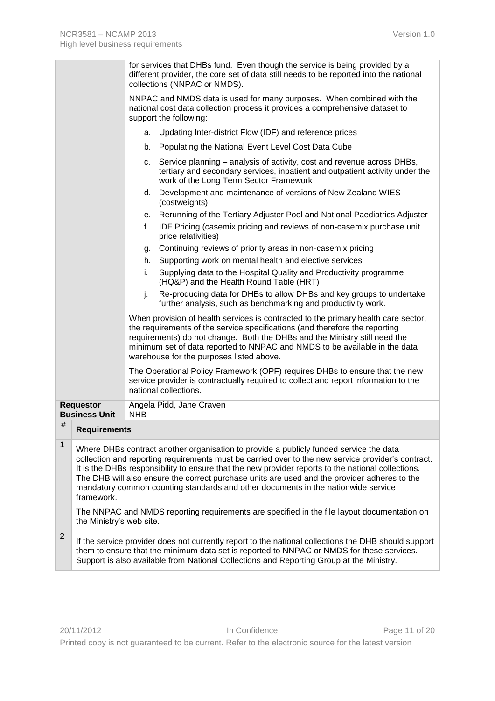|   |                          |            | for services that DHBs fund. Even though the service is being provided by a<br>different provider, the core set of data still needs to be reported into the national<br>collections (NNPAC or NMDS).                                                                                                                                                                                                                                                                                                                                                                                   |
|---|--------------------------|------------|----------------------------------------------------------------------------------------------------------------------------------------------------------------------------------------------------------------------------------------------------------------------------------------------------------------------------------------------------------------------------------------------------------------------------------------------------------------------------------------------------------------------------------------------------------------------------------------|
|   |                          |            | NNPAC and NMDS data is used for many purposes. When combined with the<br>national cost data collection process it provides a comprehensive dataset to<br>support the following:                                                                                                                                                                                                                                                                                                                                                                                                        |
|   |                          |            | a. Updating Inter-district Flow (IDF) and reference prices                                                                                                                                                                                                                                                                                                                                                                                                                                                                                                                             |
|   |                          | b.         | Populating the National Event Level Cost Data Cube                                                                                                                                                                                                                                                                                                                                                                                                                                                                                                                                     |
|   |                          | C.         | Service planning – analysis of activity, cost and revenue across DHBs,<br>tertiary and secondary services, inpatient and outpatient activity under the<br>work of the Long Term Sector Framework                                                                                                                                                                                                                                                                                                                                                                                       |
|   |                          |            | d. Development and maintenance of versions of New Zealand WIES<br>(costweights)                                                                                                                                                                                                                                                                                                                                                                                                                                                                                                        |
|   |                          |            | e. Rerunning of the Tertiary Adjuster Pool and National Paediatrics Adjuster                                                                                                                                                                                                                                                                                                                                                                                                                                                                                                           |
|   |                          | f.         | IDF Pricing (casemix pricing and reviews of non-casemix purchase unit<br>price relativities)                                                                                                                                                                                                                                                                                                                                                                                                                                                                                           |
|   |                          | g.         | Continuing reviews of priority areas in non-casemix pricing                                                                                                                                                                                                                                                                                                                                                                                                                                                                                                                            |
|   |                          | h.         | Supporting work on mental health and elective services                                                                                                                                                                                                                                                                                                                                                                                                                                                                                                                                 |
|   |                          | i.         | Supplying data to the Hospital Quality and Productivity programme<br>(HQ&P) and the Health Round Table (HRT)                                                                                                                                                                                                                                                                                                                                                                                                                                                                           |
|   |                          | j.         | Re-producing data for DHBs to allow DHBs and key groups to undertake<br>further analysis, such as benchmarking and productivity work.                                                                                                                                                                                                                                                                                                                                                                                                                                                  |
|   |                          |            | When provision of health services is contracted to the primary health care sector,<br>the requirements of the service specifications (and therefore the reporting<br>requirements) do not change. Both the DHBs and the Ministry still need the<br>minimum set of data reported to NNPAC and NMDS to be available in the data<br>warehouse for the purposes listed above.                                                                                                                                                                                                              |
|   |                          |            | The Operational Policy Framework (OPF) requires DHBs to ensure that the new<br>service provider is contractually required to collect and report information to the<br>national collections.                                                                                                                                                                                                                                                                                                                                                                                            |
|   | <b>Requestor</b>         |            | Angela Pidd, Jane Craven                                                                                                                                                                                                                                                                                                                                                                                                                                                                                                                                                               |
| # | <b>Business Unit</b>     | <b>NHB</b> |                                                                                                                                                                                                                                                                                                                                                                                                                                                                                                                                                                                        |
|   | <b>Requirements</b>      |            |                                                                                                                                                                                                                                                                                                                                                                                                                                                                                                                                                                                        |
| 1 | framework.               |            | Where DHBs contract another organisation to provide a publicly funded service the data<br>collection and reporting requirements must be carried over to the new service provider's contract.<br>It is the DHBs responsibility to ensure that the new provider reports to the national collections.<br>The DHB will also ensure the correct purchase units are used and the provider adheres to the<br>mandatory common counting standards and other documents in the nationwide service<br>The NNPAC and NMDS reporting requirements are specified in the file layout documentation on |
|   | the Ministry's web site. |            |                                                                                                                                                                                                                                                                                                                                                                                                                                                                                                                                                                                        |
| 2 |                          |            | If the service provider does not currently report to the national collections the DHB should support<br>them to ensure that the minimum data set is reported to NNPAC or NMDS for these services.<br>Support is also available from National Collections and Reporting Group at the Ministry.                                                                                                                                                                                                                                                                                          |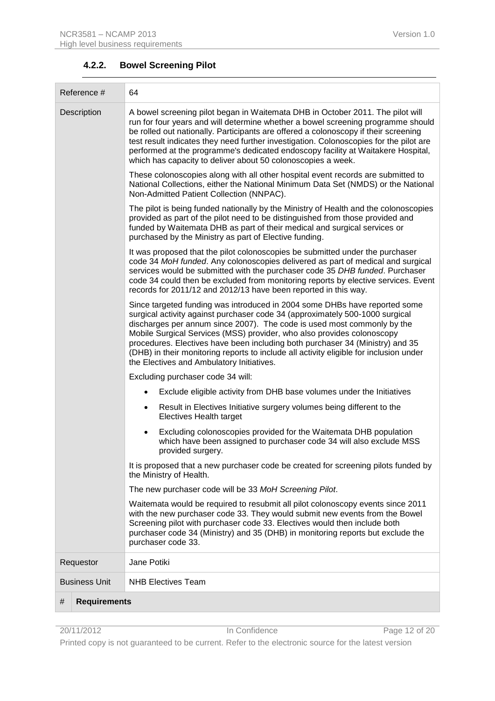<span id="page-11-0"></span>

| Reference #<br>64        |                                                                                                                                                                                                                                                                                                                                                                                                                                                                                                                                         |  |
|--------------------------|-----------------------------------------------------------------------------------------------------------------------------------------------------------------------------------------------------------------------------------------------------------------------------------------------------------------------------------------------------------------------------------------------------------------------------------------------------------------------------------------------------------------------------------------|--|
| Description              | A bowel screening pilot began in Waitemata DHB in October 2011. The pilot will<br>run for four years and will determine whether a bowel screening programme should<br>be rolled out nationally. Participants are offered a colonoscopy if their screening<br>test result indicates they need further investigation. Colonoscopies for the pilot are<br>performed at the programme's dedicated endoscopy facility at Waitakere Hospital,<br>which has capacity to deliver about 50 colonoscopies a week.                                 |  |
|                          | These colonoscopies along with all other hospital event records are submitted to<br>National Collections, either the National Minimum Data Set (NMDS) or the National<br>Non-Admitted Patient Collection (NNPAC).                                                                                                                                                                                                                                                                                                                       |  |
|                          | The pilot is being funded nationally by the Ministry of Health and the colonoscopies<br>provided as part of the pilot need to be distinguished from those provided and<br>funded by Waitemata DHB as part of their medical and surgical services or<br>purchased by the Ministry as part of Elective funding.                                                                                                                                                                                                                           |  |
|                          | It was proposed that the pilot colonoscopies be submitted under the purchaser<br>code 34 MoH funded. Any colonoscopies delivered as part of medical and surgical<br>services would be submitted with the purchaser code 35 DHB funded. Purchaser<br>code 34 could then be excluded from monitoring reports by elective services. Event<br>records for 2011/12 and 2012/13 have been reported in this way.                                                                                                                               |  |
|                          | Since targeted funding was introduced in 2004 some DHBs have reported some<br>surgical activity against purchaser code 34 (approximately 500-1000 surgical<br>discharges per annum since 2007). The code is used most commonly by the<br>Mobile Surgical Services (MSS) provider, who also provides colonoscopy<br>procedures. Electives have been including both purchaser 34 (Ministry) and 35<br>(DHB) in their monitoring reports to include all activity eligible for inclusion under<br>the Electives and Ambulatory Initiatives. |  |
|                          | Excluding purchaser code 34 will:                                                                                                                                                                                                                                                                                                                                                                                                                                                                                                       |  |
|                          | Exclude eligible activity from DHB base volumes under the Initiatives                                                                                                                                                                                                                                                                                                                                                                                                                                                                   |  |
|                          | Result in Electives Initiative surgery volumes being different to the<br>$\bullet$<br><b>Electives Health target</b>                                                                                                                                                                                                                                                                                                                                                                                                                    |  |
|                          | Excluding colonoscopies provided for the Waitemata DHB population<br>which have been assigned to purchaser code 34 will also exclude MSS<br>provided surgery.                                                                                                                                                                                                                                                                                                                                                                           |  |
|                          | It is proposed that a new purchaser code be created for screening pilots funded by<br>the Ministry of Health.                                                                                                                                                                                                                                                                                                                                                                                                                           |  |
|                          | The new purchaser code will be 33 MoH Screening Pilot.                                                                                                                                                                                                                                                                                                                                                                                                                                                                                  |  |
|                          | Waitemata would be required to resubmit all pilot colonoscopy events since 2011<br>with the new purchaser code 33. They would submit new events from the Bowel<br>Screening pilot with purchaser code 33. Electives would then include both<br>purchaser code 34 (Ministry) and 35 (DHB) in monitoring reports but exclude the<br>purchaser code 33.                                                                                                                                                                                    |  |
| Requestor                | Jane Potiki                                                                                                                                                                                                                                                                                                                                                                                                                                                                                                                             |  |
| <b>Business Unit</b>     | <b>NHB Electives Team</b>                                                                                                                                                                                                                                                                                                                                                                                                                                                                                                               |  |
| #<br><b>Requirements</b> |                                                                                                                                                                                                                                                                                                                                                                                                                                                                                                                                         |  |

# **4.2.2. Bowel Screening Pilot**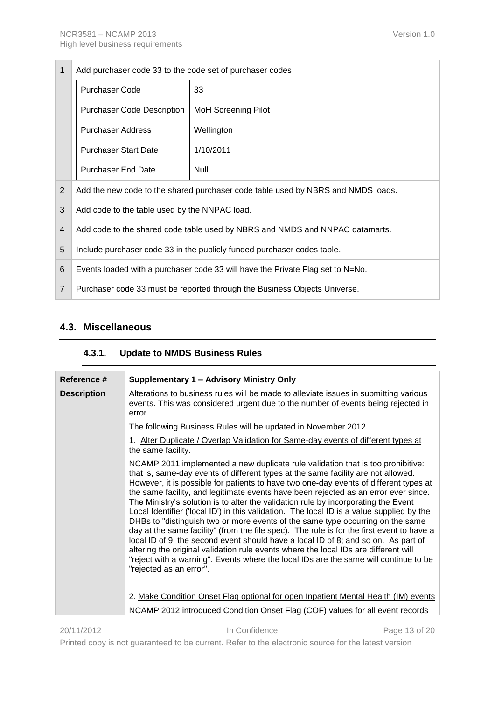| 1              | Add purchaser code 33 to the code set of purchaser codes:                        |                            |  |
|----------------|----------------------------------------------------------------------------------|----------------------------|--|
|                | <b>Purchaser Code</b>                                                            | 33                         |  |
|                | <b>Purchaser Code Description</b>                                                | <b>MoH Screening Pilot</b> |  |
|                | <b>Purchaser Address</b>                                                         | Wellington                 |  |
|                | <b>Purchaser Start Date</b>                                                      | 1/10/2011                  |  |
|                | <b>Purchaser End Date</b>                                                        | Null                       |  |
| 2              | Add the new code to the shared purchaser code table used by NBRS and NMDS loads. |                            |  |
| 3              | Add code to the table used by the NNPAC load.                                    |                            |  |
| 4              | Add code to the shared code table used by NBRS and NMDS and NNPAC datamarts.     |                            |  |
| 5              | Include purchaser code 33 in the publicly funded purchaser codes table.          |                            |  |
| 6              | Events loaded with a purchaser code 33 will have the Private Flag set to N=No.   |                            |  |
| $\overline{7}$ | Purchaser code 33 must be reported through the Business Objects Universe.        |                            |  |

# <span id="page-12-1"></span><span id="page-12-0"></span>**4.3. Miscellaneous**

#### **4.3.1. Update to NMDS Business Rules**

| Reference #        | Supplementary 1 - Advisory Ministry Only                                                                                                                                                                                                                                                                                                                                                                                                                                                                                                                                                                                                                                                                                                                                                                                                                                                                                                                                                                                                                                                                     |
|--------------------|--------------------------------------------------------------------------------------------------------------------------------------------------------------------------------------------------------------------------------------------------------------------------------------------------------------------------------------------------------------------------------------------------------------------------------------------------------------------------------------------------------------------------------------------------------------------------------------------------------------------------------------------------------------------------------------------------------------------------------------------------------------------------------------------------------------------------------------------------------------------------------------------------------------------------------------------------------------------------------------------------------------------------------------------------------------------------------------------------------------|
| <b>Description</b> | Alterations to business rules will be made to alleviate issues in submitting various<br>events. This was considered urgent due to the number of events being rejected in<br>error.                                                                                                                                                                                                                                                                                                                                                                                                                                                                                                                                                                                                                                                                                                                                                                                                                                                                                                                           |
|                    | The following Business Rules will be updated in November 2012.                                                                                                                                                                                                                                                                                                                                                                                                                                                                                                                                                                                                                                                                                                                                                                                                                                                                                                                                                                                                                                               |
|                    | 1. Alter Duplicate / Overlap Validation for Same-day events of different types at<br>the same facility.                                                                                                                                                                                                                                                                                                                                                                                                                                                                                                                                                                                                                                                                                                                                                                                                                                                                                                                                                                                                      |
|                    | NCAMP 2011 implemented a new duplicate rule validation that is too prohibitive:<br>that is, same-day events of different types at the same facility are not allowed.<br>However, it is possible for patients to have two one-day events of different types at<br>the same facility, and legitimate events have been rejected as an error ever since.<br>The Ministry's solution is to alter the validation rule by incorporating the Event<br>Local Identifier ('local ID') in this validation. The local ID is a value supplied by the<br>DHBs to "distinguish two or more events of the same type occurring on the same<br>day at the same facility" (from the file spec). The rule is for the first event to have a<br>local ID of 9; the second event should have a local ID of 8; and so on. As part of<br>altering the original validation rule events where the local IDs are different will<br>"reject with a warning". Events where the local IDs are the same will continue to be<br>"rejected as an error".<br>2. Make Condition Onset Flag optional for open Inpatient Mental Health (IM) events |
|                    | NCAMP 2012 introduced Condition Onset Flag (COF) values for all event records                                                                                                                                                                                                                                                                                                                                                                                                                                                                                                                                                                                                                                                                                                                                                                                                                                                                                                                                                                                                                                |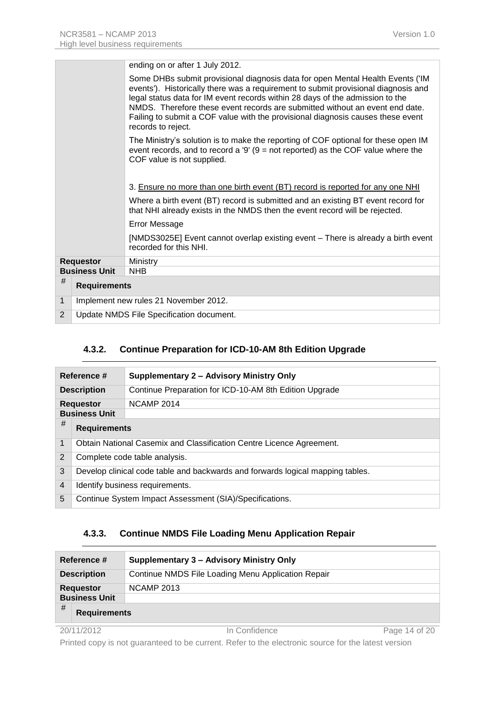|                                               |                                       | ending on or after 1 July 2012.                                                                                                                                                                                                                                                                                                                                                                                                                |
|-----------------------------------------------|---------------------------------------|------------------------------------------------------------------------------------------------------------------------------------------------------------------------------------------------------------------------------------------------------------------------------------------------------------------------------------------------------------------------------------------------------------------------------------------------|
|                                               |                                       | Some DHBs submit provisional diagnosis data for open Mental Health Events ('IM<br>events'). Historically there was a requirement to submit provisional diagnosis and<br>legal status data for IM event records within 28 days of the admission to the<br>NMDS. Therefore these event records are submitted without an event end date.<br>Failing to submit a COF value with the provisional diagnosis causes these event<br>records to reject. |
|                                               |                                       | The Ministry's solution is to make the reporting of COF optional for these open IM<br>event records, and to record a '9' $(9 = not reported)$ as the COF value where the<br>COF value is not supplied.                                                                                                                                                                                                                                         |
|                                               |                                       | 3. Ensure no more than one birth event (BT) record is reported for any one NHI                                                                                                                                                                                                                                                                                                                                                                 |
|                                               |                                       | Where a birth event (BT) record is submitted and an existing BT event record for<br>that NHI already exists in the NMDS then the event record will be rejected.                                                                                                                                                                                                                                                                                |
|                                               |                                       | <b>Error Message</b>                                                                                                                                                                                                                                                                                                                                                                                                                           |
|                                               |                                       | [NMDS3025E] Event cannot overlap existing event – There is already a birth event<br>recorded for this NHI.                                                                                                                                                                                                                                                                                                                                     |
|                                               | <b>Requestor</b>                      | Ministry                                                                                                                                                                                                                                                                                                                                                                                                                                       |
|                                               | <b>Business Unit</b>                  | <b>NHB</b>                                                                                                                                                                                                                                                                                                                                                                                                                                     |
| #                                             | <b>Requirements</b>                   |                                                                                                                                                                                                                                                                                                                                                                                                                                                |
| $\mathbf{1}$                                  | Implement new rules 21 November 2012. |                                                                                                                                                                                                                                                                                                                                                                                                                                                |
| 2<br>Update NMDS File Specification document. |                                       |                                                                                                                                                                                                                                                                                                                                                                                                                                                |

#### **4.3.2. Continue Preparation for ICD-10-AM 8th Edition Upgrade**

<span id="page-13-0"></span>

| Reference #          |                                                                                | Supplementary 2 - Advisory Ministry Only               |
|----------------------|--------------------------------------------------------------------------------|--------------------------------------------------------|
| <b>Description</b>   |                                                                                | Continue Preparation for ICD-10-AM 8th Edition Upgrade |
|                      | <b>Requestor</b>                                                               | <b>NCAMP 2014</b>                                      |
| <b>Business Unit</b> |                                                                                |                                                        |
| #                    | <b>Requirements</b>                                                            |                                                        |
| 1                    | Obtain National Casemix and Classification Centre Licence Agreement.           |                                                        |
| 2                    | Complete code table analysis.                                                  |                                                        |
| 3                    | Develop clinical code table and backwards and forwards logical mapping tables. |                                                        |
| $\overline{4}$       | Identify business requirements.                                                |                                                        |
| 5                    | Continue System Impact Assessment (SIA)/Specifications.                        |                                                        |

#### **4.3.3. Continue NMDS File Loading Menu Application Repair**

<span id="page-13-1"></span>

|                      | Reference #         | Supplementary 3 - Advisory Ministry Only           |               |
|----------------------|---------------------|----------------------------------------------------|---------------|
| <b>Description</b>   |                     | Continue NMDS File Loading Menu Application Repair |               |
| <b>Requestor</b>     |                     | <b>NCAMP 2013</b>                                  |               |
| <b>Business Unit</b> |                     |                                                    |               |
| #                    | <b>Requirements</b> |                                                    |               |
| 20/11/2012           |                     | In Confidence                                      | Page 14 of 20 |

Printed copy is not guaranteed to be current. Refer to the electronic source for the latest version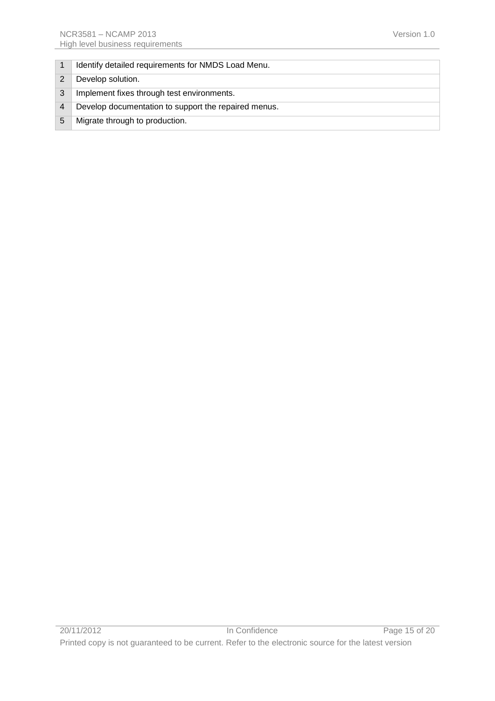|   | Identify detailed requirements for NMDS Load Menu.   |
|---|------------------------------------------------------|
|   | Develop solution.                                    |
|   | Implement fixes through test environments.           |
|   | Develop documentation to support the repaired menus. |
| 5 | Migrate through to production.                       |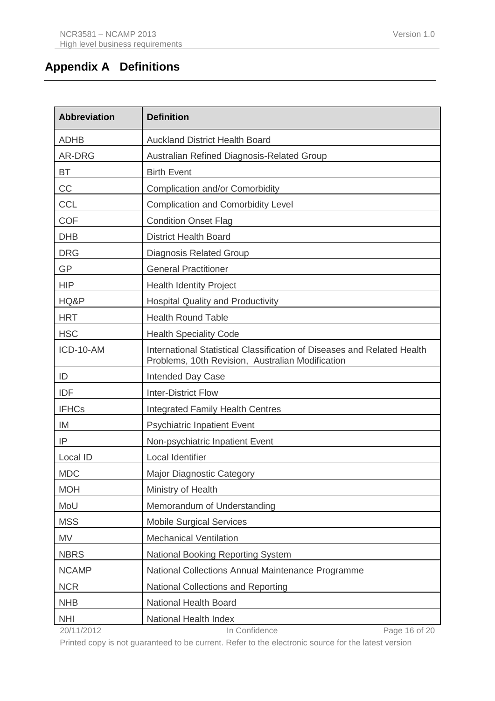# <span id="page-15-0"></span>**Appendix A Definitions**

| <b>Abbreviation</b> | <b>Definition</b>                                                                                                           |
|---------------------|-----------------------------------------------------------------------------------------------------------------------------|
| <b>ADHB</b>         | <b>Auckland District Health Board</b>                                                                                       |
| AR-DRG              | Australian Refined Diagnosis-Related Group                                                                                  |
| <b>BT</b>           | <b>Birth Event</b>                                                                                                          |
| CC                  | <b>Complication and/or Comorbidity</b>                                                                                      |
| <b>CCL</b>          | <b>Complication and Comorbidity Level</b>                                                                                   |
| <b>COF</b>          | <b>Condition Onset Flag</b>                                                                                                 |
| <b>DHB</b>          | <b>District Health Board</b>                                                                                                |
| <b>DRG</b>          | <b>Diagnosis Related Group</b>                                                                                              |
| <b>GP</b>           | <b>General Practitioner</b>                                                                                                 |
| <b>HIP</b>          | <b>Health Identity Project</b>                                                                                              |
| HQ&P                | <b>Hospital Quality and Productivity</b>                                                                                    |
| <b>HRT</b>          | <b>Health Round Table</b>                                                                                                   |
| <b>HSC</b>          | <b>Health Speciality Code</b>                                                                                               |
| ICD-10-AM           | International Statistical Classification of Diseases and Related Health<br>Problems, 10th Revision, Australian Modification |
| ID                  | Intended Day Case                                                                                                           |
| <b>IDF</b>          | <b>Inter-District Flow</b>                                                                                                  |
| <b>IFHCs</b>        | Integrated Family Health Centres                                                                                            |
| IM                  | <b>Psychiatric Inpatient Event</b>                                                                                          |
| IP                  | Non-psychiatric Inpatient Event                                                                                             |
| Local ID            | Local Identifier                                                                                                            |
| <b>MDC</b>          | <b>Major Diagnostic Category</b>                                                                                            |
| <b>MOH</b>          | Ministry of Health                                                                                                          |
| MoU                 | Memorandum of Understanding                                                                                                 |
| <b>MSS</b>          | <b>Mobile Surgical Services</b>                                                                                             |
| <b>MV</b>           | <b>Mechanical Ventilation</b>                                                                                               |
| <b>NBRS</b>         | <b>National Booking Reporting System</b>                                                                                    |
| <b>NCAMP</b>        | National Collections Annual Maintenance Programme                                                                           |
| <b>NCR</b>          | National Collections and Reporting                                                                                          |
| <b>NHB</b>          | National Health Board                                                                                                       |
| <b>NHI</b>          | National Health Index                                                                                                       |

20/11/2012 In Confidence Page 16 of 20

Printed copy is not guaranteed to be current. Refer to the electronic source for the latest version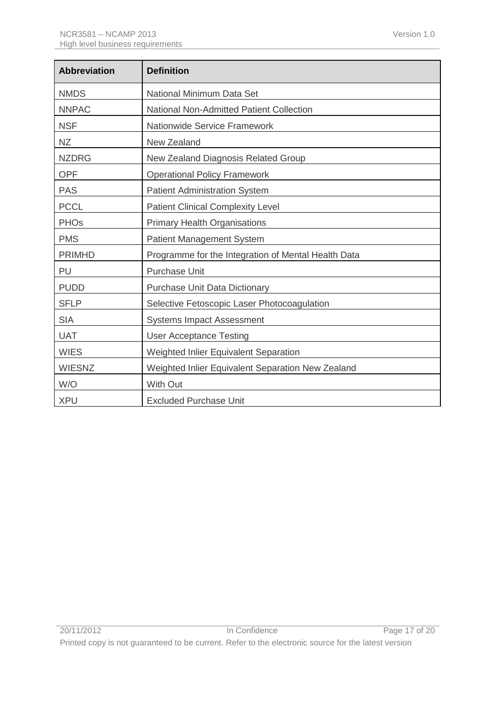| <b>Abbreviation</b>    | <b>Definition</b>                                   |
|------------------------|-----------------------------------------------------|
| <b>NMDS</b>            | National Minimum Data Set                           |
| <b>NNPAC</b>           | <b>National Non-Admitted Patient Collection</b>     |
| <b>NSF</b>             | Nationwide Service Framework                        |
| <b>NZ</b>              | New Zealand                                         |
| <b>NZDRG</b>           | New Zealand Diagnosis Related Group                 |
| <b>OPF</b>             | <b>Operational Policy Framework</b>                 |
| <b>PAS</b>             | <b>Patient Administration System</b>                |
| <b>PCCL</b>            | <b>Patient Clinical Complexity Level</b>            |
| <b>PHO<sub>s</sub></b> | <b>Primary Health Organisations</b>                 |
| <b>PMS</b>             | Patient Management System                           |
| <b>PRIMHD</b>          | Programme for the Integration of Mental Health Data |
| PU                     | <b>Purchase Unit</b>                                |
| <b>PUDD</b>            | <b>Purchase Unit Data Dictionary</b>                |
| <b>SFLP</b>            | Selective Fetoscopic Laser Photocoagulation         |
| <b>SIA</b>             | <b>Systems Impact Assessment</b>                    |
| <b>UAT</b>             | <b>User Acceptance Testing</b>                      |
| <b>WIES</b>            | Weighted Inlier Equivalent Separation               |
| <b>WIESNZ</b>          | Weighted Inlier Equivalent Separation New Zealand   |
| W/O                    | <b>With Out</b>                                     |
| <b>XPU</b>             | <b>Excluded Purchase Unit</b>                       |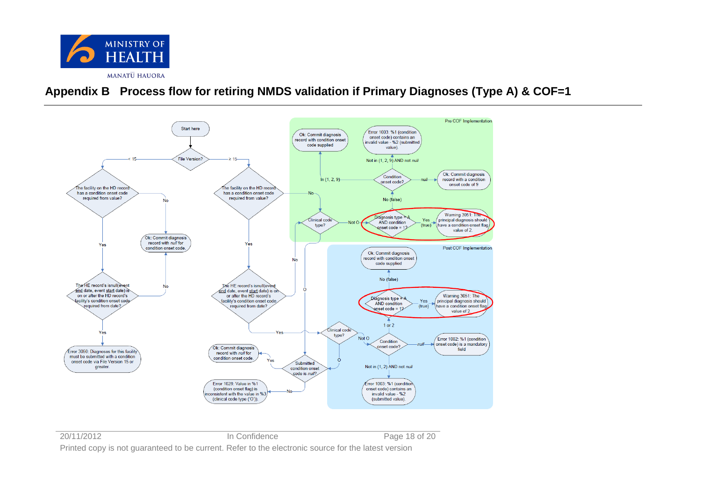

# **Appendix B Process flow for retiring NMDS validation if Primary Diagnoses (Type A) & COF=1**

<span id="page-17-0"></span>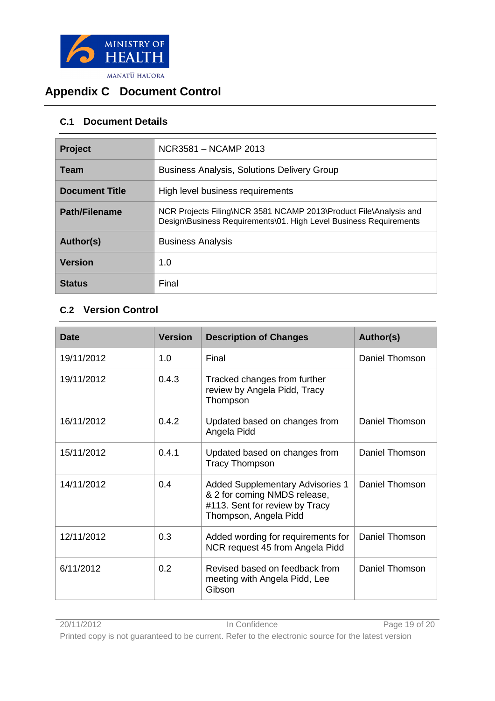

# <span id="page-18-0"></span>**Appendix C Document Control**

# <span id="page-18-1"></span>**C.1 Document Details**

| Project               | NCR3581 - NCAMP 2013                                                                                                                   |
|-----------------------|----------------------------------------------------------------------------------------------------------------------------------------|
| <b>Team</b>           | <b>Business Analysis, Solutions Delivery Group</b>                                                                                     |
| <b>Document Title</b> | High level business requirements                                                                                                       |
| <b>Path/Filename</b>  | NCR Projects Filing\NCR 3581 NCAMP 2013\Product File\Analysis and<br>Design\Business Requirements\01. High Level Business Requirements |
| Author(s)             | <b>Business Analysis</b>                                                                                                               |
| <b>Version</b>        | 1.0                                                                                                                                    |
| <b>Status</b>         | Final                                                                                                                                  |

# <span id="page-18-2"></span>**C.2 Version Control**

| <b>Date</b> | <b>Version</b> | <b>Description of Changes</b>                                                                                                      | Author(s)      |
|-------------|----------------|------------------------------------------------------------------------------------------------------------------------------------|----------------|
| 19/11/2012  | 1.0            | Final                                                                                                                              | Daniel Thomson |
| 19/11/2012  | 0.4.3          | Tracked changes from further<br>review by Angela Pidd, Tracy<br>Thompson                                                           |                |
| 16/11/2012  | 0.4.2          | Updated based on changes from<br>Angela Pidd                                                                                       | Daniel Thomson |
| 15/11/2012  | 0.4.1          | Updated based on changes from<br><b>Tracy Thompson</b>                                                                             | Daniel Thomson |
| 14/11/2012  | 0.4            | <b>Added Supplementary Advisories 1</b><br>& 2 for coming NMDS release,<br>#113. Sent for review by Tracy<br>Thompson, Angela Pidd | Daniel Thomson |
| 12/11/2012  | 0.3            | Added wording for requirements for<br>NCR request 45 from Angela Pidd                                                              | Daniel Thomson |
| 6/11/2012   | 0.2            | Revised based on feedback from<br>meeting with Angela Pidd, Lee<br>Gibson                                                          | Daniel Thomson |